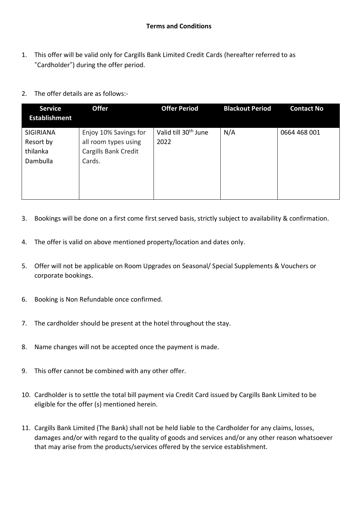- 1. This offer will be valid only for Cargills Bank Limited Credit Cards (hereafter referred to as "Cardholder") during the offer period.
- 2. The offer details are as follows:-

| <b>Service</b><br><b>Establishment</b>                | <b>Offer</b>                                                                    | <b>Offer Period</b>                      | <b>Blackout Period</b> | <b>Contact No</b> |
|-------------------------------------------------------|---------------------------------------------------------------------------------|------------------------------------------|------------------------|-------------------|
| <b>SIGIRIANA</b><br>Resort by<br>thilanka<br>Dambulla | Enjoy 10% Savings for<br>all room types using<br>Cargills Bank Credit<br>Cards. | Valid till 30 <sup>th</sup> June<br>2022 | N/A                    | 0664 468 001      |

- 3. Bookings will be done on a first come first served basis, strictly subject to availability & confirmation.
- 4. The offer is valid on above mentioned property/location and dates only.
- 5. Offer will not be applicable on Room Upgrades on Seasonal/ Special Supplements & Vouchers or corporate bookings.
- 6. Booking is Non Refundable once confirmed.
- 7. The cardholder should be present at the hotel throughout the stay.
- 8. Name changes will not be accepted once the payment is made.
- 9. This offer cannot be combined with any other offer.
- 10. Cardholder is to settle the total bill payment via Credit Card issued by Cargills Bank Limited to be eligible for the offer (s) mentioned herein.
- 11. Cargills Bank Limited (The Bank) shall not be held liable to the Cardholder for any claims, losses, damages and/or with regard to the quality of goods and services and/or any other reason whatsoever that may arise from the products/services offered by the service establishment.